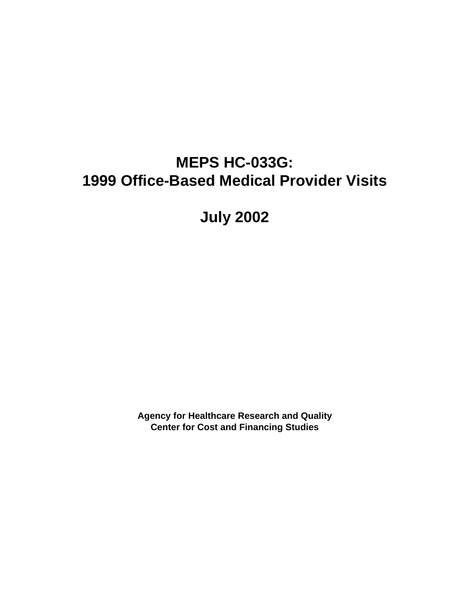# **MEPS HC-033G: 1999 Office-Based Medical Provider Visits**

**July 2002**

**Agency for Healthcare Research and Quality Center for Cost and Financing Studies**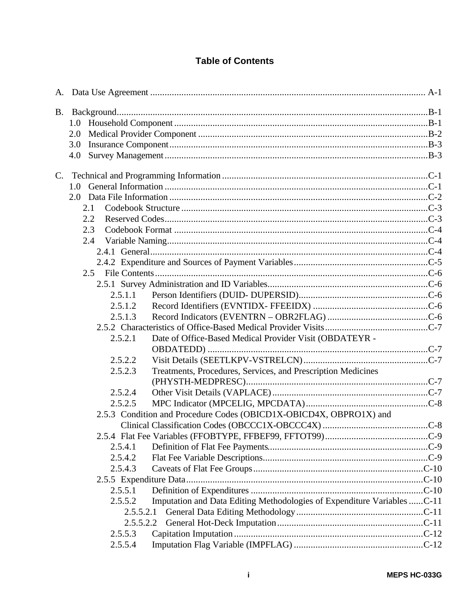### **Table of Contents**

|             | 2.0                                                                                 |  |
|-------------|-------------------------------------------------------------------------------------|--|
|             | 3.0                                                                                 |  |
|             | 4.0                                                                                 |  |
| $C_{\cdot}$ |                                                                                     |  |
|             |                                                                                     |  |
|             |                                                                                     |  |
|             | 2.1                                                                                 |  |
|             | 2.2                                                                                 |  |
|             | 2.3                                                                                 |  |
|             | 2.4                                                                                 |  |
|             |                                                                                     |  |
|             |                                                                                     |  |
|             |                                                                                     |  |
|             |                                                                                     |  |
|             | 2.5.1.1                                                                             |  |
|             | 2.5.1.2                                                                             |  |
|             | 2.5.1.3                                                                             |  |
|             |                                                                                     |  |
|             | 2.5.2.1<br>Date of Office-Based Medical Provider Visit (OBDATEYR -                  |  |
|             |                                                                                     |  |
|             | 2.5.2.2                                                                             |  |
|             | Treatments, Procedures, Services, and Prescription Medicines<br>2.5.2.3             |  |
|             |                                                                                     |  |
|             | 2.5.2.4                                                                             |  |
|             | 2.5.2.5                                                                             |  |
|             | 2.5.3 Condition and Procedure Codes (OBICD1X-OBICD4X, OBPRO1X) and                  |  |
|             |                                                                                     |  |
|             |                                                                                     |  |
|             | 2.5.4.1                                                                             |  |
|             | 2.5.4.2                                                                             |  |
|             | 2.5.4.3                                                                             |  |
|             |                                                                                     |  |
|             | 2.5.5.1                                                                             |  |
|             | Imputation and Data Editing Methodologies of Expenditure Variables  C-11<br>2.5.5.2 |  |
|             | 2.5.5.2.1                                                                           |  |
|             | 2.5.5.2.2                                                                           |  |
|             | 2.5.5.3                                                                             |  |
|             | 2.5.5.4                                                                             |  |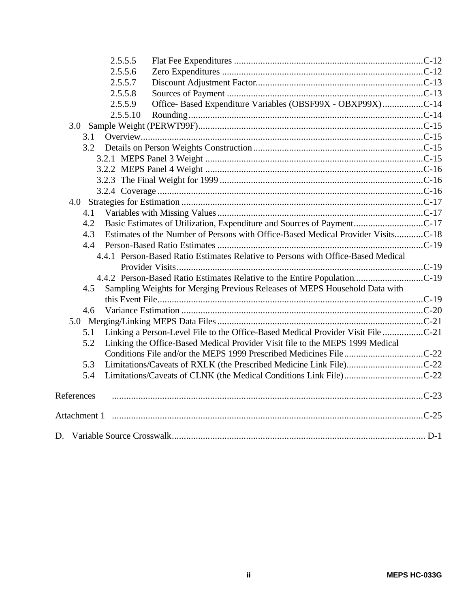| 2.5.5.5                                                                                 |  |
|-----------------------------------------------------------------------------------------|--|
| 2.5.5.6                                                                                 |  |
| 2.5.5.7                                                                                 |  |
| 2.5.5.8                                                                                 |  |
| Office- Based Expenditure Variables (OBSF99X - OBXP99X)C-14<br>2.5.5.9                  |  |
| 2.5.5.10                                                                                |  |
|                                                                                         |  |
| 3.1                                                                                     |  |
|                                                                                         |  |
|                                                                                         |  |
|                                                                                         |  |
|                                                                                         |  |
|                                                                                         |  |
|                                                                                         |  |
| 4.1                                                                                     |  |
| 4.2                                                                                     |  |
| Estimates of the Number of Persons with Office-Based Medical Provider VisitsC-18<br>4.3 |  |
| 4.4                                                                                     |  |
| 4.4.1 Person-Based Ratio Estimates Relative to Persons with Office-Based Medical        |  |
|                                                                                         |  |
|                                                                                         |  |
| Sampling Weights for Merging Previous Releases of MEPS Household Data with<br>4.5       |  |
|                                                                                         |  |
| 4.6                                                                                     |  |
|                                                                                         |  |
| Linking a Person-Level File to the Office-Based Medical Provider Visit File<br>5.1      |  |
| Linking the Office-Based Medical Provider Visit file to the MEPS 1999 Medical<br>5.2    |  |
|                                                                                         |  |
| 5.3                                                                                     |  |
| 5.4                                                                                     |  |
| References                                                                              |  |
|                                                                                         |  |
|                                                                                         |  |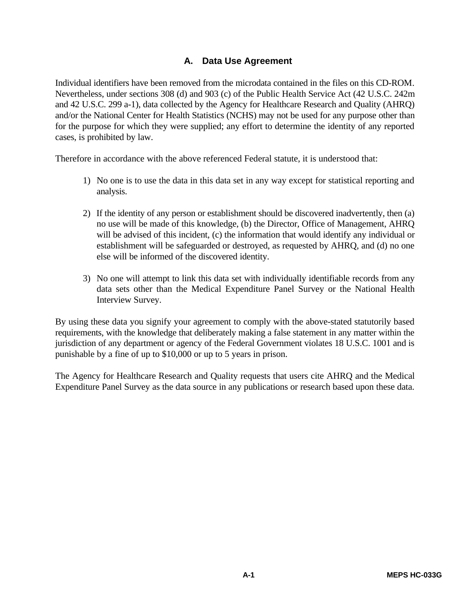### **A. Data Use Agreement**

Individual identifiers have been removed from the microdata contained in the files on this CD-ROM. Nevertheless, under sections 308 (d) and 903 (c) of the Public Health Service Act (42 U.S.C. 242m and 42 U.S.C. 299 a-1), data collected by the Agency for Healthcare Research and Quality (AHRQ) and/or the National Center for Health Statistics (NCHS) may not be used for any purpose other than for the purpose for which they were supplied; any effort to determine the identity of any reported cases, is prohibited by law.

Therefore in accordance with the above referenced Federal statute, it is understood that:

- 1) No one is to use the data in this data set in any way except for statistical reporting and analysis.
- 2) If the identity of any person or establishment should be discovered inadvertently, then (a) no use will be made of this knowledge, (b) the Director, Office of Management, AHRQ will be advised of this incident, (c) the information that would identify any individual or establishment will be safeguarded or destroyed, as requested by AHRQ, and (d) no one else will be informed of the discovered identity.
- 3) No one will attempt to link this data set with individually identifiable records from any data sets other than the Medical Expenditure Panel Survey or the National Health Interview Survey.

By using these data you signify your agreement to comply with the above-stated statutorily based requirements, with the knowledge that deliberately making a false statement in any matter within the jurisdiction of any department or agency of the Federal Government violates 18 U.S.C. 1001 and is punishable by a fine of up to \$10,000 or up to 5 years in prison.

The Agency for Healthcare Research and Quality requests that users cite AHRQ and the Medical Expenditure Panel Survey as the data source in any publications or research based upon these data.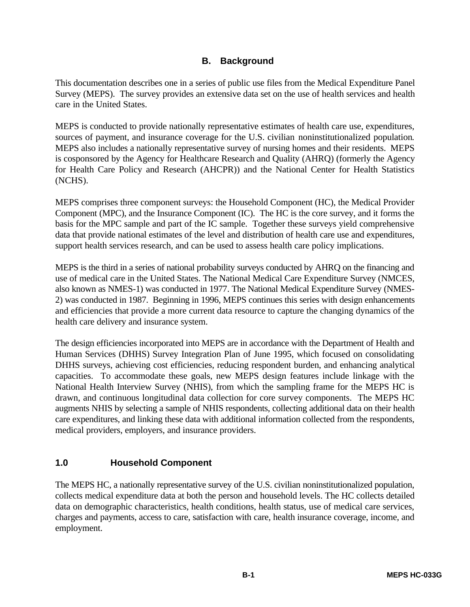### **B. Background**

This documentation describes one in a series of public use files from the Medical Expenditure Panel Survey (MEPS). The survey provides an extensive data set on the use of health services and health care in the United States.

MEPS is conducted to provide nationally representative estimates of health care use, expenditures, sources of payment, and insurance coverage for the U.S. civilian noninstitutionalized population. MEPS also includes a nationally representative survey of nursing homes and their residents. MEPS is cosponsored by the Agency for Healthcare Research and Quality (AHRQ) (formerly the Agency for Health Care Policy and Research (AHCPR)) and the National Center for Health Statistics (NCHS).

MEPS comprises three component surveys: the Household Component (HC), the Medical Provider Component (MPC), and the Insurance Component (IC). The HC is the core survey, and it forms the basis for the MPC sample and part of the IC sample. Together these surveys yield comprehensive data that provide national estimates of the level and distribution of health care use and expenditures, support health services research, and can be used to assess health care policy implications.

MEPS is the third in a series of national probability surveys conducted by AHRQ on the financing and use of medical care in the United States. The National Medical Care Expenditure Survey (NMCES, also known as NMES-1) was conducted in 1977. The National Medical Expenditure Survey (NMES-2) was conducted in 1987. Beginning in 1996, MEPS continues this series with design enhancements and efficiencies that provide a more current data resource to capture the changing dynamics of the health care delivery and insurance system.

The design efficiencies incorporated into MEPS are in accordance with the Department of Health and Human Services (DHHS) Survey Integration Plan of June 1995, which focused on consolidating DHHS surveys, achieving cost efficiencies, reducing respondent burden, and enhancing analytical capacities. To accommodate these goals, new MEPS design features include linkage with the National Health Interview Survey (NHIS), from which the sampling frame for the MEPS HC is drawn, and continuous longitudinal data collection for core survey components. The MEPS HC augments NHIS by selecting a sample of NHIS respondents, collecting additional data on their health care expenditures, and linking these data with additional information collected from the respondents, medical providers, employers, and insurance providers.

### **1.0 Household Component**

The MEPS HC, a nationally representative survey of the U.S. civilian noninstitutionalized population, collects medical expenditure data at both the person and household levels. The HC collects detailed data on demographic characteristics, health conditions, health status, use of medical care services, charges and payments, access to care, satisfaction with care, health insurance coverage, income, and employment.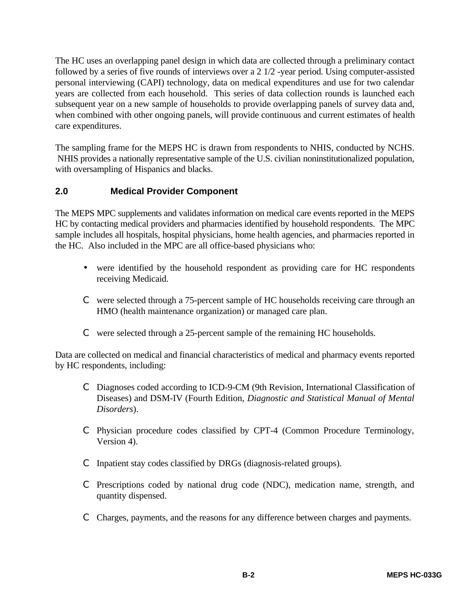The HC uses an overlapping panel design in which data are collected through a preliminary contact followed by a series of five rounds of interviews over a 2 1/2 -year period. Using computer-assisted personal interviewing (CAPI) technology, data on medical expenditures and use for two calendar years are collected from each household. This series of data collection rounds is launched each subsequent year on a new sample of households to provide overlapping panels of survey data and, when combined with other ongoing panels, will provide continuous and current estimates of health care expenditures.

The sampling frame for the MEPS HC is drawn from respondents to NHIS, conducted by NCHS. NHIS provides a nationally representative sample of the U.S. civilian noninstitutionalized population, with oversampling of Hispanics and blacks.

### **2.0 Medical Provider Component**

The MEPS MPC supplements and validates information on medical care events reported in the MEPS HC by contacting medical providers and pharmacies identified by household respondents. The MPC sample includes all hospitals, hospital physicians, home health agencies, and pharmacies reported in the HC. Also included in the MPC are all office-based physicians who:

- were identified by the household respondent as providing care for HC respondents receiving Medicaid.
- C were selected through a 75-percent sample of HC households receiving care through an HMO (health maintenance organization) or managed care plan.
- C were selected through a 25-percent sample of the remaining HC households.

Data are collected on medical and financial characteristics of medical and pharmacy events reported by HC respondents, including:

- C Diagnoses coded according to ICD-9-CM (9th Revision, International Classification of Diseases) and DSM-IV (Fourth Edition, *Diagnostic and Statistical Manual of Mental Disorders*).
- C Physician procedure codes classified by CPT-4 (Common Procedure Terminology, Version 4).
- C Inpatient stay codes classified by DRGs (diagnosis-related groups).
- C Prescriptions coded by national drug code (NDC), medication name, strength, and quantity dispensed.
- C Charges, payments, and the reasons for any difference between charges and payments.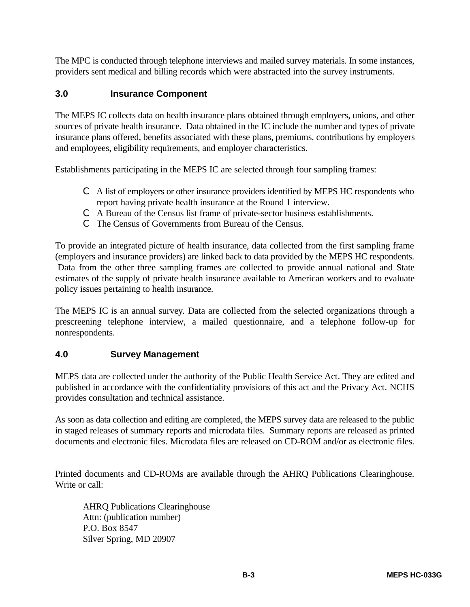The MPC is conducted through telephone interviews and mailed survey materials. In some instances, providers sent medical and billing records which were abstracted into the survey instruments.

### **3.0 Insurance Component**

The MEPS IC collects data on health insurance plans obtained through employers, unions, and other sources of private health insurance. Data obtained in the IC include the number and types of private insurance plans offered, benefits associated with these plans, premiums, contributions by employers and employees, eligibility requirements, and employer characteristics.

Establishments participating in the MEPS IC are selected through four sampling frames:

- C A list of employers or other insurance providers identified by MEPS HC respondents who report having private health insurance at the Round 1 interview.
- C A Bureau of the Census list frame of private-sector business establishments.
- C The Census of Governments from Bureau of the Census.

To provide an integrated picture of health insurance, data collected from the first sampling frame (employers and insurance providers) are linked back to data provided by the MEPS HC respondents. Data from the other three sampling frames are collected to provide annual national and State estimates of the supply of private health insurance available to American workers and to evaluate policy issues pertaining to health insurance.

The MEPS IC is an annual survey. Data are collected from the selected organizations through a prescreening telephone interview, a mailed questionnaire, and a telephone follow-up for nonrespondents.

#### **4.0 Survey Management**

MEPS data are collected under the authority of the Public Health Service Act. They are edited and published in accordance with the confidentiality provisions of this act and the Privacy Act. NCHS provides consultation and technical assistance.

As soon as data collection and editing are completed, the MEPS survey data are released to the public in staged releases of summary reports and microdata files. Summary reports are released as printed documents and electronic files. Microdata files are released on CD-ROM and/or as electronic files.

Printed documents and CD-ROMs are available through the AHRQ Publications Clearinghouse. Write or call:

AHRQ Publications Clearinghouse Attn: (publication number) P.O. Box 8547 Silver Spring, MD 20907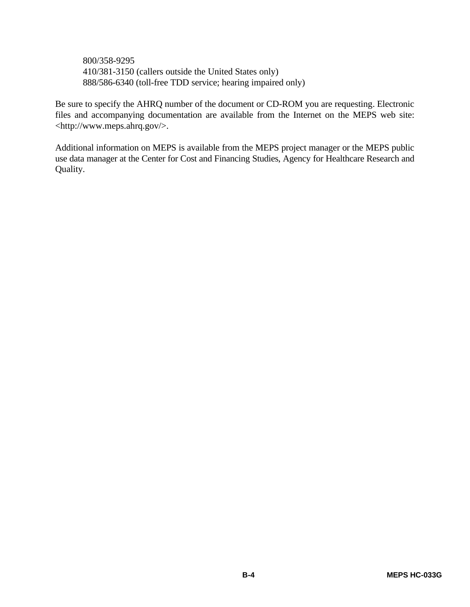800/358-9295 410/381-3150 (callers outside the United States only) 888/586-6340 (toll-free TDD service; hearing impaired only)

Be sure to specify the AHRQ number of the document or CD-ROM you are requesting. Electronic files and accompanying documentation are available from the Internet on the MEPS web site: <http://www.meps.ahrq.gov/>.

Additional information on MEPS is available from the MEPS project manager or the MEPS public use data manager at the Center for Cost and Financing Studies, Agency for Healthcare Research and Quality.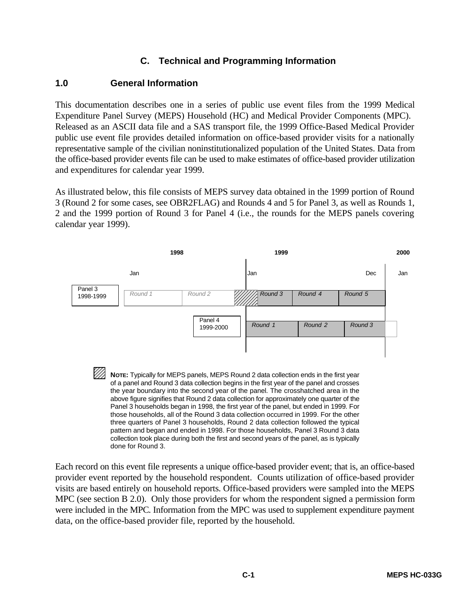#### **C. Technical and Programming Information**

#### **1.0 General Information**

This documentation describes one in a series of public use event files from the 1999 Medical Expenditure Panel Survey (MEPS) Household (HC) and Medical Provider Components (MPC). Released as an ASCII data file and a SAS transport file, the 1999 Office-Based Medical Provider public use event file provides detailed information on office-based provider visits for a nationally representative sample of the civilian noninstitutionalized population of the United States. Data from the office-based provider events file can be used to make estimates of office-based provider utilization and expenditures for calendar year 1999.

As illustrated below, this file consists of MEPS survey data obtained in the 1999 portion of Round 3 (Round 2 for some cases, see OBR2FLAG) and Rounds 4 and 5 for Panel 3, as well as Rounds 1, 2 and the 1999 portion of Round 3 for Panel 4 (i.e., the rounds for the MEPS panels covering calendar year 1999).



Each record on this event file represents a unique office-based provider event; that is, an office-based provider event reported by the household respondent. Counts utilization of office-based provider visits are based entirely on household reports. Office-based providers were sampled into the MEPS MPC (see section B 2.0). Only those providers for whom the respondent signed a permission form were included in the MPC. Information from the MPC was used to supplement expenditure payment data, on the office-based provider file, reported by the household.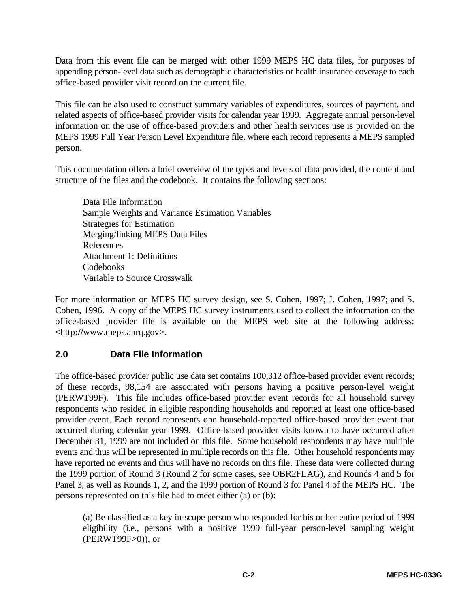Data from this event file can be merged with other 1999 MEPS HC data files, for purposes of appending person-level data such as demographic characteristics or health insurance coverage to each office-based provider visit record on the current file.

This file can be also used to construct summary variables of expenditures, sources of payment, and related aspects of office-based provider visits for calendar year 1999. Aggregate annual person-level information on the use of office-based providers and other health services use is provided on the MEPS 1999 Full Year Person Level Expenditure file, where each record represents a MEPS sampled person.

This documentation offers a brief overview of the types and levels of data provided, the content and structure of the files and the codebook. It contains the following sections:

Data File Information Sample Weights and Variance Estimation Variables Strategies for Estimation Merging/linking MEPS Data Files References Attachment 1: Definitions Codebooks Variable to Source Crosswalk

For more information on MEPS HC survey design, see S. Cohen, 1997; J. Cohen, 1997; and S. Cohen, 1996. A copy of the MEPS HC survey instruments used to collect the information on the office-based provider file is available on the MEPS web site at the following address: <http**://**www.meps.ahrq.gov>.

### **2.0 Data File Information**

The office-based provider public use data set contains 100,312 office-based provider event records; of these records, 98,154 are associated with persons having a positive person-level weight (PERWT99F). This file includes office-based provider event records for all household survey respondents who resided in eligible responding households and reported at least one office-based provider event. Each record represents one household-reported office-based provider event that occurred during calendar year 1999. Office-based provider visits known to have occurred after December 31, 1999 are not included on this file. Some household respondents may have multiple events and thus will be represented in multiple records on this file. Other household respondents may have reported no events and thus will have no records on this file. These data were collected during the 1999 portion of Round 3 (Round 2 for some cases, see OBR2FLAG), and Rounds 4 and 5 for Panel 3, as well as Rounds 1, 2, and the 1999 portion of Round 3 for Panel 4 of the MEPS HC. The persons represented on this file had to meet either (a) or (b):

(a) Be classified as a key in-scope person who responded for his or her entire period of 1999 eligibility (i.e., persons with a positive 1999 full-year person-level sampling weight (PERWT99F>0)), or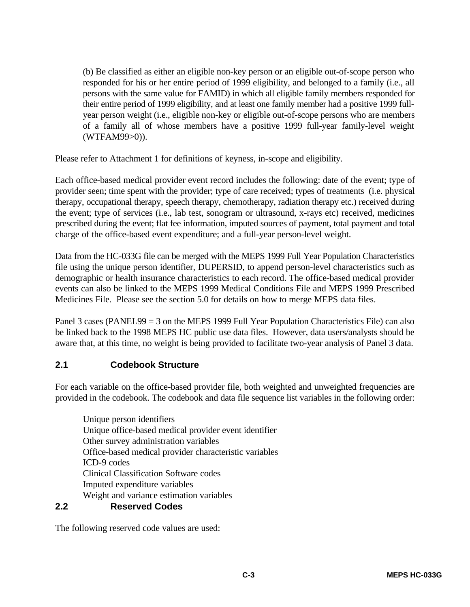(b) Be classified as either an eligible non-key person or an eligible out-of-scope person who responded for his or her entire period of 1999 eligibility, and belonged to a family (i.e., all persons with the same value for FAMID) in which all eligible family members responded for their entire period of 1999 eligibility, and at least one family member had a positive 1999 fullyear person weight (i.e., eligible non-key or eligible out-of-scope persons who are members of a family all of whose members have a positive 1999 full-year family-level weight (WTFAM99>0)).

Please refer to Attachment 1 for definitions of keyness, in-scope and eligibility.

Each office-based medical provider event record includes the following: date of the event; type of provider seen; time spent with the provider; type of care received; types of treatments (i.e. physical therapy, occupational therapy, speech therapy, chemotherapy, radiation therapy etc.) received during the event; type of services (i.e., lab test, sonogram or ultrasound, x-rays etc) received, medicines prescribed during the event; flat fee information, imputed sources of payment, total payment and total charge of the office-based event expenditure; and a full-year person-level weight.

Data from the HC-033G file can be merged with the MEPS 1999 Full Year Population Characteristics file using the unique person identifier, DUPERSID, to append person-level characteristics such as demographic or health insurance characteristics to each record. The office-based medical provider events can also be linked to the MEPS 1999 Medical Conditions File and MEPS 1999 Prescribed Medicines File. Please see the section 5.0 for details on how to merge MEPS data files.

Panel 3 cases (PANEL99 = 3 on the MEPS 1999 Full Year Population Characteristics File) can also be linked back to the 1998 MEPS HC public use data files. However, data users/analysts should be aware that, at this time, no weight is being provided to facilitate two-year analysis of Panel 3 data.

### **2.1 Codebook Structure**

For each variable on the office-based provider file, both weighted and unweighted frequencies are provided in the codebook. The codebook and data file sequence list variables in the following order:

Unique person identifiers Unique office-based medical provider event identifier Other survey administration variables Office-based medical provider characteristic variables ICD-9 codes Clinical Classification Software codes Imputed expenditure variables Weight and variance estimation variables

#### **2.2 Reserved Codes**

The following reserved code values are used: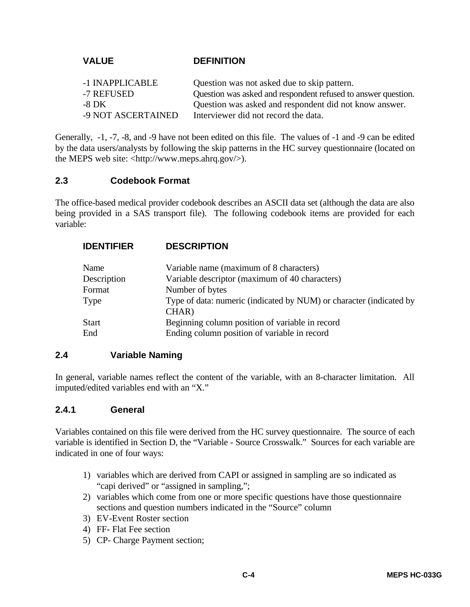#### **VALUE DEFINITION**

| -1 INAPPLICABLE    | Question was not asked due to skip pattern.                   |
|--------------------|---------------------------------------------------------------|
| -7 REFUSED         | Question was asked and respondent refused to answer question. |
| $-8\,\mathrm{DK}$  | Question was asked and respondent did not know answer.        |
| -9 NOT ASCERTAINED | Interviewer did not record the data.                          |

Generally, -1, -7, -8, and -9 have not been edited on this file. The values of -1 and -9 can be edited by the data users/analysts by following the skip patterns in the HC survey questionnaire (located on the MEPS web site: <http://www.meps.ahrq.gov/>).

#### **2.3 Codebook Format**

The office-based medical provider codebook describes an ASCII data set (although the data are also being provided in a SAS transport file). The following codebook items are provided for each variable:

| <b>IDENTIFIER</b> | <b>DESCRIPTION</b>                                                           |
|-------------------|------------------------------------------------------------------------------|
| Name              | Variable name (maximum of 8 characters)                                      |
| Description       | Variable descriptor (maximum of 40 characters)                               |
| Format            | Number of bytes                                                              |
| Type              | Type of data: numeric (indicated by NUM) or character (indicated by<br>CHAR) |
| <b>Start</b>      | Beginning column position of variable in record                              |
| End               | Ending column position of variable in record                                 |

#### **2.4 Variable Naming**

In general, variable names reflect the content of the variable, with an 8-character limitation. All imputed/edited variables end with an "X."

#### **2.4.1 General**

Variables contained on this file were derived from the HC survey questionnaire. The source of each variable is identified in Section D, the "Variable - Source Crosswalk." Sources for each variable are indicated in one of four ways:

- 1) variables which are derived from CAPI or assigned in sampling are so indicated as "capi derived" or "assigned in sampling,";
- 2) variables which come from one or more specific questions have those questionnaire sections and question numbers indicated in the "Source" column
- 3) EV-Event Roster section
- 4) FF- Flat Fee section
- 5) CP- Charge Payment section;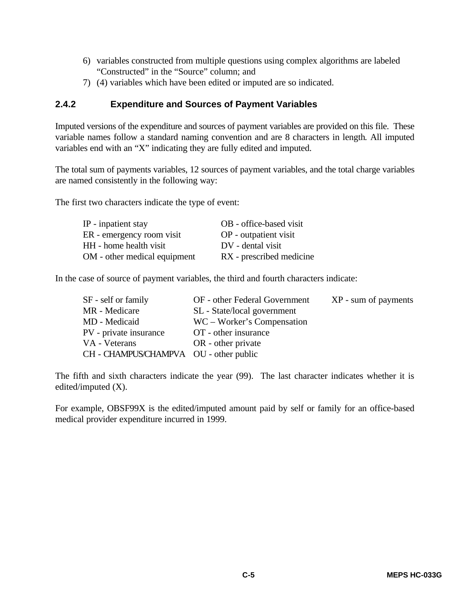- 6) variables constructed from multiple questions using complex algorithms are labeled "Constructed" in the "Source" column; and
- 7) (4) variables which have been edited or imputed are so indicated.

#### **2.4.2 Expenditure and Sources of Payment Variables**

Imputed versions of the expenditure and sources of payment variables are provided on this file. These variable names follow a standard naming convention and are 8 characters in length. All imputed variables end with an "X" indicating they are fully edited and imputed.

The total sum of payments variables, 12 sources of payment variables, and the total charge variables are named consistently in the following way:

The first two characters indicate the type of event:

| IP - inpatient stay          | OB - office-based visit  |
|------------------------------|--------------------------|
| ER - emergency room visit    | OP - outpatient visit    |
| HH - home health visit       | DV - dental visit        |
| OM - other medical equipment | RX - prescribed medicine |

In the case of source of payment variables, the third and fourth characters indicate:

| SF - self or family                    | OF - other Federal Government | XP - sum of payments |
|----------------------------------------|-------------------------------|----------------------|
| MR - Medicare                          | SL - State/local government   |                      |
| MD - Medicaid                          | WC – Worker's Compensation    |                      |
| PV - private insurance                 | OT - other insurance          |                      |
| VA - Veterans                          | OR - other private            |                      |
| CH - CHAMPUS/CHAMPVA OU - other public |                               |                      |

The fifth and sixth characters indicate the year (99). The last character indicates whether it is edited/imputed (X).

For example, OBSF99X is the edited/imputed amount paid by self or family for an office-based medical provider expenditure incurred in 1999.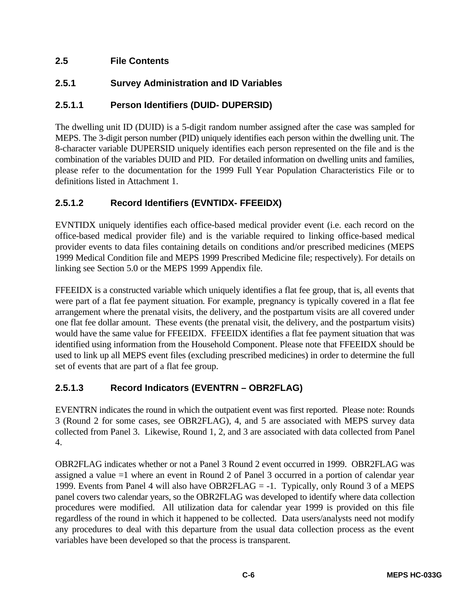### **2.5 File Contents**

### **2.5.1 Survey Administration and ID Variables**

### **2.5.1.1 Person Identifiers (DUID- DUPERSID)**

The dwelling unit ID (DUID) is a 5-digit random number assigned after the case was sampled for MEPS. The 3-digit person number (PID) uniquely identifies each person within the dwelling unit. The 8-character variable DUPERSID uniquely identifies each person represented on the file and is the combination of the variables DUID and PID. For detailed information on dwelling units and families, please refer to the documentation for the 1999 Full Year Population Characteristics File or to definitions listed in Attachment 1.

### **2.5.1.2 Record Identifiers (EVNTIDX- FFEEIDX)**

EVNTIDX uniquely identifies each office-based medical provider event (i.e. each record on the office-based medical provider file) and is the variable required to linking office-based medical provider events to data files containing details on conditions and/or prescribed medicines (MEPS 1999 Medical Condition file and MEPS 1999 Prescribed Medicine file; respectively). For details on linking see Section 5.0 or the MEPS 1999 Appendix file.

FFEEIDX is a constructed variable which uniquely identifies a flat fee group, that is, all events that were part of a flat fee payment situation. For example, pregnancy is typically covered in a flat fee arrangement where the prenatal visits, the delivery, and the postpartum visits are all covered under one flat fee dollar amount. These events (the prenatal visit, the delivery, and the postpartum visits) would have the same value for FFEEIDX. FFEEIDX identifies a flat fee payment situation that was identified using information from the Household Component. Please note that FFEEIDX should be used to link up all MEPS event files (excluding prescribed medicines) in order to determine the full set of events that are part of a flat fee group.

### **2.5.1.3 Record Indicators (EVENTRN – OBR2FLAG)**

EVENTRN indicates the round in which the outpatient event was first reported. Please note: Rounds 3 (Round 2 for some cases, see OBR2FLAG), 4, and 5 are associated with MEPS survey data collected from Panel 3. Likewise, Round 1, 2, and 3 are associated with data collected from Panel 4.

OBR2FLAG indicates whether or not a Panel 3 Round 2 event occurred in 1999. OBR2FLAG was assigned a value =1 where an event in Round 2 of Panel 3 occurred in a portion of calendar year 1999. Events from Panel 4 will also have OBR2FLAG = -1. Typically, only Round 3 of a MEPS panel covers two calendar years, so the OBR2FLAG was developed to identify where data collection procedures were modified. All utilization data for calendar year 1999 is provided on this file regardless of the round in which it happened to be collected. Data users/analysts need not modify any procedures to deal with this departure from the usual data collection process as the event variables have been developed so that the process is transparent.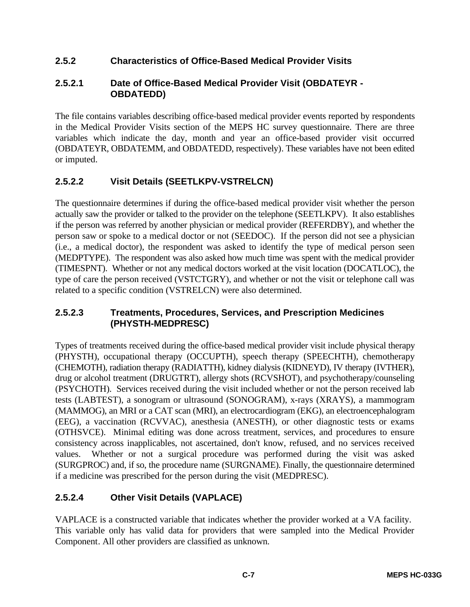### **2.5.2 Characteristics of Office-Based Medical Provider Visits**

### **2.5.2.1 Date of Office-Based Medical Provider Visit (OBDATEYR - OBDATEDD)**

The file contains variables describing office-based medical provider events reported by respondents in the Medical Provider Visits section of the MEPS HC survey questionnaire. There are three variables which indicate the day, month and year an office-based provider visit occurred (OBDATEYR, OBDATEMM, and OBDATEDD, respectively). These variables have not been edited or imputed.

### **2.5.2.2 Visit Details (SEETLKPV-VSTRELCN)**

The questionnaire determines if during the office-based medical provider visit whether the person actually saw the provider or talked to the provider on the telephone (SEETLKPV). It also establishes if the person was referred by another physician or medical provider (REFERDBY), and whether the person saw or spoke to a medical doctor or not (SEEDOC). If the person did not see a physician (i.e., a medical doctor), the respondent was asked to identify the type of medical person seen (MEDPTYPE). The respondent was also asked how much time was spent with the medical provider (TIMESPNT). Whether or not any medical doctors worked at the visit location (DOCATLOC), the type of care the person received (VSTCTGRY), and whether or not the visit or telephone call was related to a specific condition (VSTRELCN) were also determined.

### **2.5.2.3 Treatments, Procedures, Services, and Prescription Medicines (PHYSTH-MEDPRESC)**

Types of treatments received during the office-based medical provider visit include physical therapy (PHYSTH), occupational therapy (OCCUPTH), speech therapy (SPEECHTH), chemotherapy (CHEMOTH), radiation therapy (RADIATTH), kidney dialysis (KIDNEYD), IV therapy (IVTHER), drug or alcohol treatment (DRUGTRT), allergy shots (RCVSHOT), and psychotherapy/counseling (PSYCHOTH). Services received during the visit included whether or not the person received lab tests (LABTEST), a sonogram or ultrasound (SONOGRAM), x-rays (XRAYS), a mammogram (MAMMOG), an MRI or a CAT scan (MRI), an electrocardiogram (EKG), an electroencephalogram (EEG), a vaccination (RCVVAC), anesthesia (ANESTH), or other diagnostic tests or exams (OTHSVCE). Minimal editing was done across treatment, services, and procedures to ensure consistency across inapplicables, not ascertained, don't know, refused, and no services received values. Whether or not a surgical procedure was performed during the visit was asked (SURGPROC) and, if so, the procedure name (SURGNAME). Finally, the questionnaire determined if a medicine was prescribed for the person during the visit (MEDPRESC).

### **2.5.2.4 Other Visit Details (VAPLACE)**

VAPLACE is a constructed variable that indicates whether the provider worked at a VA facility. This variable only has valid data for providers that were sampled into the Medical Provider Component. All other providers are classified as unknown.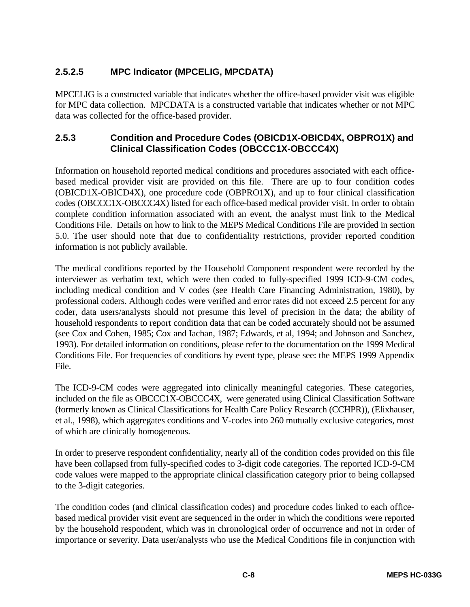### **2.5.2.5 MPC Indicator (MPCELIG, MPCDATA)**

MPCELIG is a constructed variable that indicates whether the office-based provider visit was eligible for MPC data collection. MPCDATA is a constructed variable that indicates whether or not MPC data was collected for the office-based provider.

### **2.5.3 Condition and Procedure Codes (OBICD1X-OBICD4X, OBPRO1X) and Clinical Classification Codes (OBCCC1X-OBCCC4X)**

Information on household reported medical conditions and procedures associated with each officebased medical provider visit are provided on this file. There are up to four condition codes (OBICD1X-OBICD4X), one procedure code (OBPRO1X), and up to four clinical classification codes (OBCCC1X-OBCCC4X) listed for each office-based medical provider visit. In order to obtain complete condition information associated with an event, the analyst must link to the Medical Conditions File. Details on how to link to the MEPS Medical Conditions File are provided in section 5.0. The user should note that due to confidentiality restrictions, provider reported condition information is not publicly available.

The medical conditions reported by the Household Component respondent were recorded by the interviewer as verbatim text, which were then coded to fully-specified 1999 ICD-9-CM codes, including medical condition and V codes (see Health Care Financing Administration, 1980), by professional coders. Although codes were verified and error rates did not exceed 2.5 percent for any coder, data users/analysts should not presume this level of precision in the data; the ability of household respondents to report condition data that can be coded accurately should not be assumed (see Cox and Cohen, 1985; Cox and Iachan, 1987; Edwards, et al, 1994; and Johnson and Sanchez, 1993). For detailed information on conditions, please refer to the documentation on the 1999 Medical Conditions File. For frequencies of conditions by event type, please see: the MEPS 1999 Appendix File.

The ICD-9-CM codes were aggregated into clinically meaningful categories. These categories, included on the file as OBCCC1X-OBCCC4X, were generated using Clinical Classification Software (formerly known as Clinical Classifications for Health Care Policy Research (CCHPR)), (Elixhauser, et al., 1998), which aggregates conditions and V-codes into 260 mutually exclusive categories, most of which are clinically homogeneous.

In order to preserve respondent confidentiality, nearly all of the condition codes provided on this file have been collapsed from fully-specified codes to 3-digit code categories. The reported ICD-9-CM code values were mapped to the appropriate clinical classification category prior to being collapsed to the 3-digit categories.

The condition codes (and clinical classification codes) and procedure codes linked to each officebased medical provider visit event are sequenced in the order in which the conditions were reported by the household respondent, which was in chronological order of occurrence and not in order of importance or severity. Data user/analysts who use the Medical Conditions file in conjunction with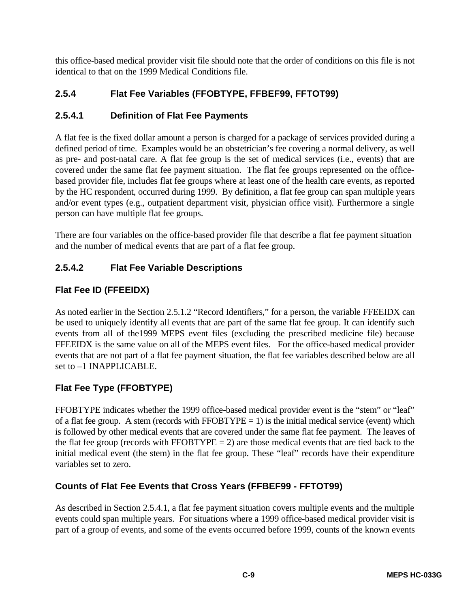this office-based medical provider visit file should note that the order of conditions on this file is not identical to that on the 1999 Medical Conditions file.

### **2.5.4 Flat Fee Variables (FFOBTYPE, FFBEF99, FFTOT99)**

### **2.5.4.1 Definition of Flat Fee Payments**

A flat fee is the fixed dollar amount a person is charged for a package of services provided during a defined period of time. Examples would be an obstetrician's fee covering a normal delivery, as well as pre- and post-natal care. A flat fee group is the set of medical services (i.e., events) that are covered under the same flat fee payment situation. The flat fee groups represented on the officebased provider file, includes flat fee groups where at least one of the health care events, as reported by the HC respondent, occurred during 1999. By definition, a flat fee group can span multiple years and/or event types (e.g., outpatient department visit, physician office visit). Furthermore a single person can have multiple flat fee groups.

There are four variables on the office-based provider file that describe a flat fee payment situation and the number of medical events that are part of a flat fee group.

### **2.5.4.2 Flat Fee Variable Descriptions**

### **Flat Fee ID (FFEEIDX)**

As noted earlier in the Section 2.5.1.2 "Record Identifiers," for a person, the variable FFEEIDX can be used to uniquely identify all events that are part of the same flat fee group. It can identify such events from all of the1999 MEPS event files (excluding the prescribed medicine file) because FFEEIDX is the same value on all of the MEPS event files. For the office-based medical provider events that are not part of a flat fee payment situation, the flat fee variables described below are all set to –1 INAPPLICABLE.

### **Flat Fee Type (FFOBTYPE)**

FFOBTYPE indicates whether the 1999 office-based medical provider event is the "stem" or "leaf" of a flat fee group. A stem (records with FFOBTYPE  $= 1$ ) is the initial medical service (event) which is followed by other medical events that are covered under the same flat fee payment. The leaves of the flat fee group (records with  $FFOBTYPE = 2$ ) are those medical events that are tied back to the initial medical event (the stem) in the flat fee group. These "leaf" records have their expenditure variables set to zero.

### **Counts of Flat Fee Events that Cross Years (FFBEF99 - FFTOT99)**

As described in Section 2.5.4.1, a flat fee payment situation covers multiple events and the multiple events could span multiple years. For situations where a 1999 office-based medical provider visit is part of a group of events, and some of the events occurred before 1999, counts of the known events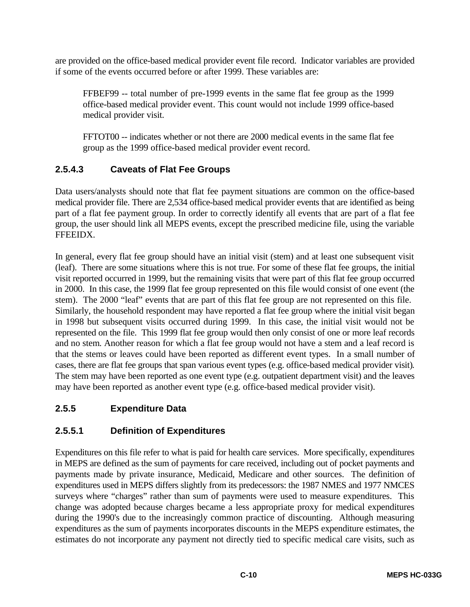are provided on the office-based medical provider event file record. Indicator variables are provided if some of the events occurred before or after 1999. These variables are:

FFBEF99 -- total number of pre-1999 events in the same flat fee group as the 1999 office-based medical provider event. This count would not include 1999 office-based medical provider visit.

FFTOT00 -- indicates whether or not there are 2000 medical events in the same flat fee group as the 1999 office-based medical provider event record.

### **2.5.4.3 Caveats of Flat Fee Groups**

Data users/analysts should note that flat fee payment situations are common on the office-based medical provider file. There are 2,534 office-based medical provider events that are identified as being part of a flat fee payment group. In order to correctly identify all events that are part of a flat fee group, the user should link all MEPS events, except the prescribed medicine file, using the variable FFEEIDX.

In general, every flat fee group should have an initial visit (stem) and at least one subsequent visit (leaf). There are some situations where this is not true. For some of these flat fee groups, the initial visit reported occurred in 1999, but the remaining visits that were part of this flat fee group occurred in 2000. In this case, the 1999 flat fee group represented on this file would consist of one event (the stem). The 2000 "leaf" events that are part of this flat fee group are not represented on this file. Similarly, the household respondent may have reported a flat fee group where the initial visit began in 1998 but subsequent visits occurred during 1999. In this case, the initial visit would not be represented on the file. This 1999 flat fee group would then only consist of one or more leaf records and no stem. Another reason for which a flat fee group would not have a stem and a leaf record is that the stems or leaves could have been reported as different event types. In a small number of cases, there are flat fee groups that span various event types (e.g. office-based medical provider visit). The stem may have been reported as one event type (e.g. outpatient department visit) and the leaves may have been reported as another event type (e.g. office-based medical provider visit).

### **2.5.5 Expenditure Data**

### **2.5.5.1 Definition of Expenditures**

Expenditures on this file refer to what is paid for health care services. More specifically, expenditures in MEPS are defined as the sum of payments for care received, including out of pocket payments and payments made by private insurance, Medicaid, Medicare and other sources. The definition of expenditures used in MEPS differs slightly from its predecessors: the 1987 NMES and 1977 NMCES surveys where "charges" rather than sum of payments were used to measure expenditures. This change was adopted because charges became a less appropriate proxy for medical expenditures during the 1990's due to the increasingly common practice of discounting. Although measuring expenditures as the sum of payments incorporates discounts in the MEPS expenditure estimates, the estimates do not incorporate any payment not directly tied to specific medical care visits, such as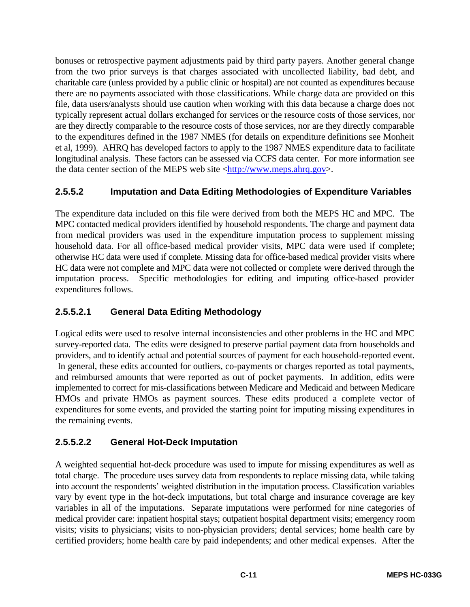bonuses or retrospective payment adjustments paid by third party payers. Another general change from the two prior surveys is that charges associated with uncollected liability, bad debt, and charitable care (unless provided by a public clinic or hospital) are not counted as expenditures because there are no payments associated with those classifications. While charge data are provided on this file, data users/analysts should use caution when working with this data because a charge does not typically represent actual dollars exchanged for services or the resource costs of those services, nor are they directly comparable to the resource costs of those services, nor are they directly comparable to the expenditures defined in the 1987 NMES (for details on expenditure definitions see Monheit et al, 1999). AHRQ has developed factors to apply to the 1987 NMES expenditure data to facilitate longitudinal analysis. These factors can be assessed via CCFS data center. For more information see the data center section of the MEPS web site <http://www.meps.ahrq.gov>.

### **2.5.5.2 Imputation and Data Editing Methodologies of Expenditure Variables**

The expenditure data included on this file were derived from both the MEPS HC and MPC. The MPC contacted medical providers identified by household respondents. The charge and payment data from medical providers was used in the expenditure imputation process to supplement missing household data. For all office-based medical provider visits, MPC data were used if complete; otherwise HC data were used if complete. Missing data for office-based medical provider visits where HC data were not complete and MPC data were not collected or complete were derived through the imputation process. Specific methodologies for editing and imputing office-based provider expenditures follows.

### **2.5.5.2.1 General Data Editing Methodology**

Logical edits were used to resolve internal inconsistencies and other problems in the HC and MPC survey-reported data. The edits were designed to preserve partial payment data from households and providers, and to identify actual and potential sources of payment for each household-reported event. In general, these edits accounted for outliers, co-payments or charges reported as total payments, and reimbursed amounts that were reported as out of pocket payments. In addition, edits were implemented to correct for mis-classifications between Medicare and Medicaid and between Medicare HMOs and private HMOs as payment sources. These edits produced a complete vector of expenditures for some events, and provided the starting point for imputing missing expenditures in the remaining events.

### **2.5.5.2.2 General Hot-Deck Imputation**

A weighted sequential hot-deck procedure was used to impute for missing expenditures as well as total charge. The procedure uses survey data from respondents to replace missing data, while taking into account the respondents' weighted distribution in the imputation process. Classification variables vary by event type in the hot-deck imputations, but total charge and insurance coverage are key variables in all of the imputations. Separate imputations were performed for nine categories of medical provider care: inpatient hospital stays; outpatient hospital department visits; emergency room visits; visits to physicians; visits to non-physician providers; dental services; home health care by certified providers; home health care by paid independents; and other medical expenses. After the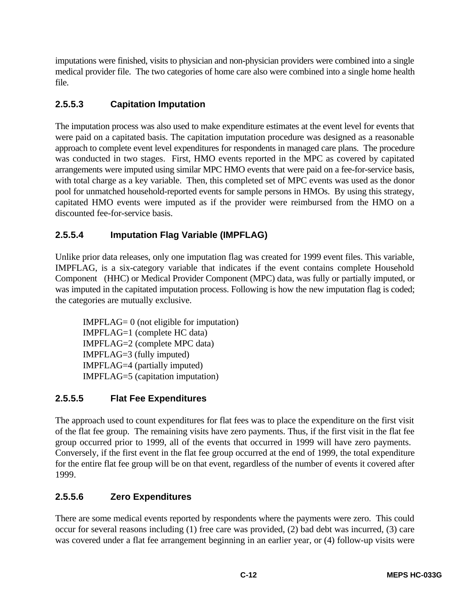imputations were finished, visits to physician and non-physician providers were combined into a single medical provider file. The two categories of home care also were combined into a single home health file.

### **2.5.5.3 Capitation Imputation**

The imputation process was also used to make expenditure estimates at the event level for events that were paid on a capitated basis. The capitation imputation procedure was designed as a reasonable approach to complete event level expenditures for respondents in managed care plans. The procedure was conducted in two stages. First, HMO events reported in the MPC as covered by capitated arrangements were imputed using similar MPC HMO events that were paid on a fee-for-service basis, with total charge as a key variable. Then, this completed set of MPC events was used as the donor pool for unmatched household-reported events for sample persons in HMOs. By using this strategy, capitated HMO events were imputed as if the provider were reimbursed from the HMO on a discounted fee-for-service basis.

### **2.5.5.4 Imputation Flag Variable (IMPFLAG)**

Unlike prior data releases, only one imputation flag was created for 1999 event files. This variable, IMPFLAG, is a six-category variable that indicates if the event contains complete Household Component (HHC) or Medical Provider Component (MPC) data, was fully or partially imputed, or was imputed in the capitated imputation process. Following is how the new imputation flag is coded; the categories are mutually exclusive.

IMPFLAG= 0 (not eligible for imputation) IMPFLAG=1 (complete HC data) IMPFLAG=2 (complete MPC data) IMPFLAG=3 (fully imputed) IMPFLAG=4 (partially imputed) IMPFLAG=5 (capitation imputation)

### **2.5.5.5 Flat Fee Expenditures**

The approach used to count expenditures for flat fees was to place the expenditure on the first visit of the flat fee group. The remaining visits have zero payments. Thus, if the first visit in the flat fee group occurred prior to 1999, all of the events that occurred in 1999 will have zero payments. Conversely, if the first event in the flat fee group occurred at the end of 1999, the total expenditure for the entire flat fee group will be on that event, regardless of the number of events it covered after 1999.

### **2.5.5.6 Zero Expenditures**

There are some medical events reported by respondents where the payments were zero. This could occur for several reasons including (1) free care was provided, (2) bad debt was incurred, (3) care was covered under a flat fee arrangement beginning in an earlier year, or (4) follow-up visits were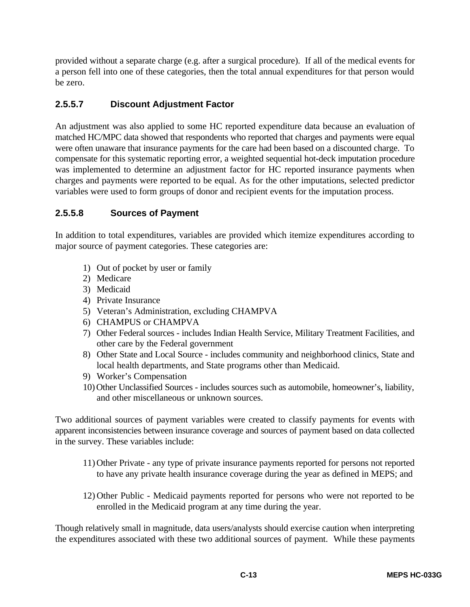provided without a separate charge (e.g. after a surgical procedure). If all of the medical events for a person fell into one of these categories, then the total annual expenditures for that person would be zero.

### **2.5.5.7 Discount Adjustment Factor**

An adjustment was also applied to some HC reported expenditure data because an evaluation of matched HC/MPC data showed that respondents who reported that charges and payments were equal were often unaware that insurance payments for the care had been based on a discounted charge. To compensate for this systematic reporting error, a weighted sequential hot-deck imputation procedure was implemented to determine an adjustment factor for HC reported insurance payments when charges and payments were reported to be equal. As for the other imputations, selected predictor variables were used to form groups of donor and recipient events for the imputation process.

### **2.5.5.8 Sources of Payment**

In addition to total expenditures, variables are provided which itemize expenditures according to major source of payment categories. These categories are:

- 1) Out of pocket by user or family
- 2) Medicare
- 3) Medicaid
- 4) Private Insurance
- 5) Veteran's Administration, excluding CHAMPVA
- 6) CHAMPUS or CHAMPVA
- 7) Other Federal sources includes Indian Health Service, Military Treatment Facilities, and other care by the Federal government
- 8) Other State and Local Source includes community and neighborhood clinics, State and local health departments, and State programs other than Medicaid.
- 9) Worker's Compensation
- 10) Other Unclassified Sources includes sources such as automobile, homeowner's, liability, and other miscellaneous or unknown sources.

Two additional sources of payment variables were created to classify payments for events with apparent inconsistencies between insurance coverage and sources of payment based on data collected in the survey. These variables include:

- 11)Other Private any type of private insurance payments reported for persons not reported to have any private health insurance coverage during the year as defined in MEPS; and
- 12) Other Public Medicaid payments reported for persons who were not reported to be enrolled in the Medicaid program at any time during the year.

Though relatively small in magnitude, data users/analysts should exercise caution when interpreting the expenditures associated with these two additional sources of payment. While these payments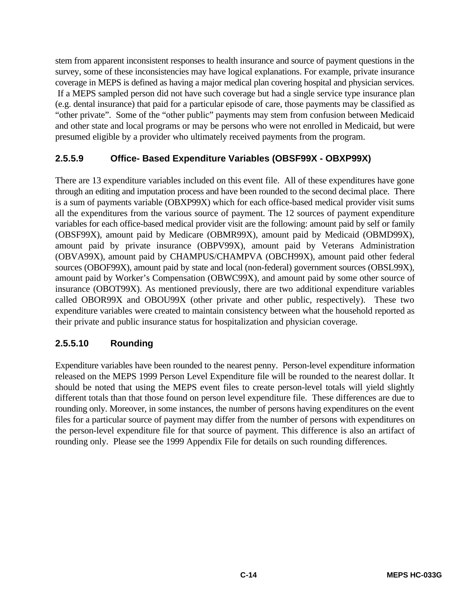stem from apparent inconsistent responses to health insurance and source of payment questions in the survey, some of these inconsistencies may have logical explanations. For example, private insurance coverage in MEPS is defined as having a major medical plan covering hospital and physician services. If a MEPS sampled person did not have such coverage but had a single service type insurance plan (e.g. dental insurance) that paid for a particular episode of care, those payments may be classified as "other private". Some of the "other public" payments may stem from confusion between Medicaid and other state and local programs or may be persons who were not enrolled in Medicaid, but were presumed eligible by a provider who ultimately received payments from the program.

### **2.5.5.9 Office- Based Expenditure Variables (OBSF99X - OBXP99X)**

There are 13 expenditure variables included on this event file. All of these expenditures have gone through an editing and imputation process and have been rounded to the second decimal place. There is a sum of payments variable (OBXP99X) which for each office-based medical provider visit sums all the expenditures from the various source of payment. The 12 sources of payment expenditure variables for each office-based medical provider visit are the following: amount paid by self or family (OBSF99X), amount paid by Medicare (OBMR99X), amount paid by Medicaid (OBMD99X), amount paid by private insurance (OBPV99X), amount paid by Veterans Administration (OBVA99X), amount paid by CHAMPUS/CHAMPVA (OBCH99X), amount paid other federal sources (OBOF99X), amount paid by state and local (non-federal) government sources (OBSL99X), amount paid by Worker's Compensation (OBWC99X), and amount paid by some other source of insurance (OBOT99X). As mentioned previously, there are two additional expenditure variables called OBOR99X and OBOU99X (other private and other public, respectively). These two expenditure variables were created to maintain consistency between what the household reported as their private and public insurance status for hospitalization and physician coverage.

### **2.5.5.10 Rounding**

Expenditure variables have been rounded to the nearest penny. Person-level expenditure information released on the MEPS 1999 Person Level Expenditure file will be rounded to the nearest dollar. It should be noted that using the MEPS event files to create person-level totals will yield slightly different totals than that those found on person level expenditure file. These differences are due to rounding only. Moreover, in some instances, the number of persons having expenditures on the event files for a particular source of payment may differ from the number of persons with expenditures on the person-level expenditure file for that source of payment. This difference is also an artifact of rounding only. Please see the 1999 Appendix File for details on such rounding differences.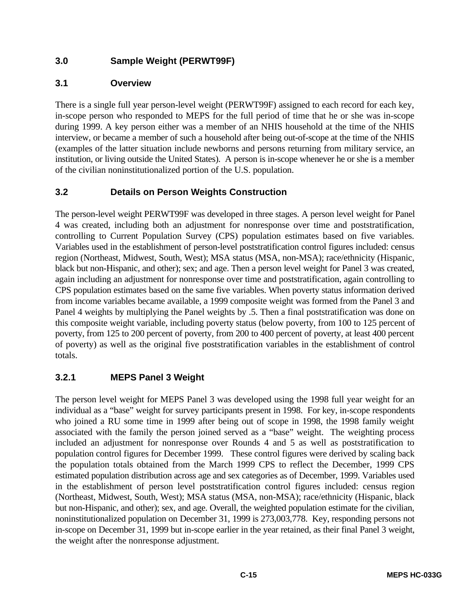### **3.0 Sample Weight (PERWT99F)**

### **3.1 Overview**

There is a single full year person-level weight (PERWT99F) assigned to each record for each key, in-scope person who responded to MEPS for the full period of time that he or she was in-scope during 1999. A key person either was a member of an NHIS household at the time of the NHIS interview, or became a member of such a household after being out-of-scope at the time of the NHIS (examples of the latter situation include newborns and persons returning from military service, an institution, or living outside the United States). A person is in-scope whenever he or she is a member of the civilian noninstitutionalized portion of the U.S. population.

### **3.2 Details on Person Weights Construction**

The person-level weight PERWT99F was developed in three stages. A person level weight for Panel 4 was created, including both an adjustment for nonresponse over time and poststratification, controlling to Current Population Survey (CPS) population estimates based on five variables. Variables used in the establishment of person-level poststratification control figures included: census region (Northeast, Midwest, South, West); MSA status (MSA, non-MSA); race/ethnicity (Hispanic, black but non-Hispanic, and other); sex; and age. Then a person level weight for Panel 3 was created, again including an adjustment for nonresponse over time and poststratification, again controlling to CPS population estimates based on the same five variables. When poverty status information derived from income variables became available, a 1999 composite weight was formed from the Panel 3 and Panel 4 weights by multiplying the Panel weights by .5. Then a final poststratification was done on this composite weight variable, including poverty status (below poverty, from 100 to 125 percent of poverty, from 125 to 200 percent of poverty, from 200 to 400 percent of poverty, at least 400 percent of poverty) as well as the original five poststratification variables in the establishment of control totals.

### **3.2.1 MEPS Panel 3 Weight**

The person level weight for MEPS Panel 3 was developed using the 1998 full year weight for an individual as a "base" weight for survey participants present in 1998. For key, in-scope respondents who joined a RU some time in 1999 after being out of scope in 1998, the 1998 family weight associated with the family the person joined served as a "base" weight. The weighting process included an adjustment for nonresponse over Rounds 4 and 5 as well as poststratification to population control figures for December 1999. These control figures were derived by scaling back the population totals obtained from the March 1999 CPS to reflect the December, 1999 CPS estimated population distribution across age and sex categories as of December, 1999. Variables used in the establishment of person level poststratification control figures included: census region (Northeast, Midwest, South, West); MSA status (MSA, non-MSA); race/ethnicity (Hispanic, black but non-Hispanic, and other); sex, and age. Overall, the weighted population estimate for the civilian, noninstitutionalized population on December 31, 1999 is 273,003,778. Key, responding persons not in-scope on December 31, 1999 but in-scope earlier in the year retained, as their final Panel 3 weight, the weight after the nonresponse adjustment.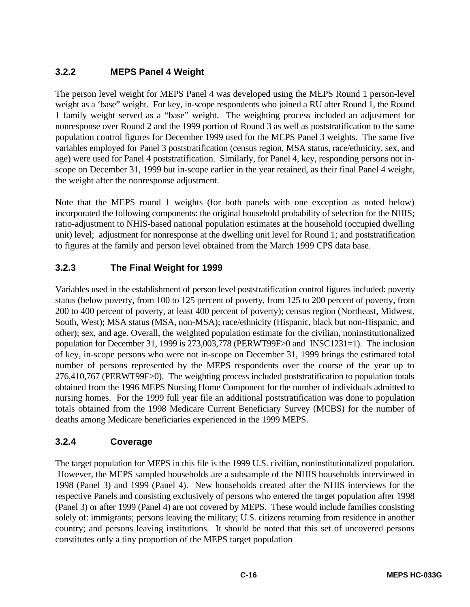### **3.2.2 MEPS Panel 4 Weight**

The person level weight for MEPS Panel 4 was developed using the MEPS Round 1 person-level weight as a 'base" weight. For key, in-scope respondents who joined a RU after Round 1, the Round 1 family weight served as a "base" weight. The weighting process included an adjustment for nonresponse over Round 2 and the 1999 portion of Round 3 as well as poststratification to the same population control figures for December 1999 used for the MEPS Panel 3 weights. The same five variables employed for Panel 3 poststratification (census region, MSA status, race/ethnicity, sex, and age) were used for Panel 4 poststratification. Similarly, for Panel 4, key, responding persons not inscope on December 31, 1999 but in-scope earlier in the year retained, as their final Panel 4 weight, the weight after the nonresponse adjustment.

Note that the MEPS round 1 weights (for both panels with one exception as noted below) incorporated the following components: the original household probability of selection for the NHIS; ratio-adjustment to NHIS-based national population estimates at the household (occupied dwelling unit) level; adjustment for nonresponse at the dwelling unit level for Round 1; and poststratification to figures at the family and person level obtained from the March 1999 CPS data base.

### **3.2.3 The Final Weight for 1999**

Variables used in the establishment of person level poststratification control figures included: poverty status (below poverty, from 100 to 125 percent of poverty, from 125 to 200 percent of poverty, from 200 to 400 percent of poverty, at least 400 percent of poverty); census region (Northeast, Midwest, South, West); MSA status (MSA, non-MSA); race/ethnicity (Hispanic, black but non-Hispanic, and other); sex, and age. Overall, the weighted population estimate for the civilian, noninstitutionalized population for December 31, 1999 is 273,003,778 (PERWT99F>0 and INSC1231=1). The inclusion of key, in-scope persons who were not in-scope on December 31, 1999 brings the estimated total number of persons represented by the MEPS respondents over the course of the year up to 276,410,767 (PERWT99F>0). The weighting process included poststratification to population totals obtained from the 1996 MEPS Nursing Home Component for the number of individuals admitted to nursing homes. For the 1999 full year file an additional poststratification was done to population totals obtained from the 1998 Medicare Current Beneficiary Survey (MCBS) for the number of deaths among Medicare beneficiaries experienced in the 1999 MEPS.

### **3.2.4 Coverage**

The target population for MEPS in this file is the 1999 U.S. civilian, noninstitutionalized population. However, the MEPS sampled households are a subsample of the NHIS households interviewed in 1998 (Panel 3) and 1999 (Panel 4). New households created after the NHIS interviews for the respective Panels and consisting exclusively of persons who entered the target population after 1998 (Panel 3) or after 1999 (Panel 4) are not covered by MEPS. These would include families consisting solely of: immigrants; persons leaving the military; U.S. citizens returning from residence in another country; and persons leaving institutions. It should be noted that this set of uncovered persons constitutes only a tiny proportion of the MEPS target population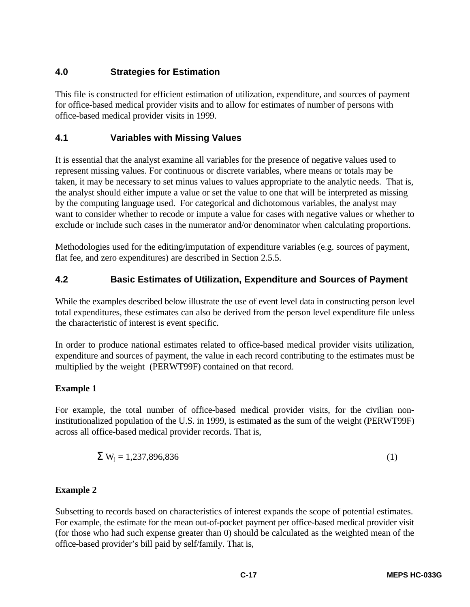### **4.0 Strategies for Estimation**

This file is constructed for efficient estimation of utilization, expenditure, and sources of payment for office-based medical provider visits and to allow for estimates of number of persons with office-based medical provider visits in 1999.

### **4.1 Variables with Missing Values**

It is essential that the analyst examine all variables for the presence of negative values used to represent missing values. For continuous or discrete variables, where means or totals may be taken, it may be necessary to set minus values to values appropriate to the analytic needs. That is, the analyst should either impute a value or set the value to one that will be interpreted as missing by the computing language used. For categorical and dichotomous variables, the analyst may want to consider whether to recode or impute a value for cases with negative values or whether to exclude or include such cases in the numerator and/or denominator when calculating proportions.

Methodologies used for the editing/imputation of expenditure variables (e.g. sources of payment, flat fee, and zero expenditures) are described in Section 2.5.5.

### **4.2 Basic Estimates of Utilization, Expenditure and Sources of Payment**

While the examples described below illustrate the use of event level data in constructing person level total expenditures, these estimates can also be derived from the person level expenditure file unless the characteristic of interest is event specific.

In order to produce national estimates related to office-based medical provider visits utilization, expenditure and sources of payment, the value in each record contributing to the estimates must be multiplied by the weight (PERWT99F) contained on that record.

### **Example 1**

For example, the total number of office-based medical provider visits, for the civilian noninstitutionalized population of the U.S. in 1999, is estimated as the sum of the weight (PERWT99F) across all office-based medical provider records. That is,

$$
S Wj = 1,237,896,836
$$
 (1)

### **Example 2**

Subsetting to records based on characteristics of interest expands the scope of potential estimates. For example, the estimate for the mean out-of-pocket payment per office-based medical provider visit (for those who had such expense greater than 0) should be calculated as the weighted mean of the office-based provider's bill paid by self/family. That is,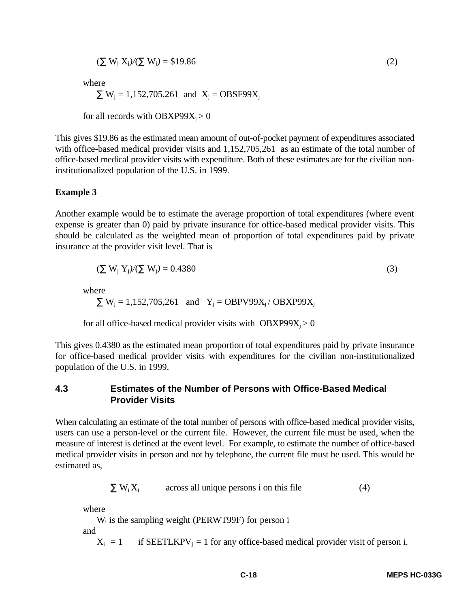$$
(\sum W_j X_j)/(\sum W_j) = $19.86
$$
 (2)

where

$$
\sum W_j = 1,152,705,261
$$
 and  $X_j = OBSF99X_j$ 

for all records with  $OBXP99X_i > 0$ 

This gives \$19.86 as the estimated mean amount of out-of-pocket payment of expenditures associated with office-based medical provider visits and 1,152,705,261 as an estimate of the total number of office-based medical provider visits with expenditure. Both of these estimates are for the civilian noninstitutionalized population of the U.S. in 1999.

#### **Example 3**

Another example would be to estimate the average proportion of total expenditures (where event expense is greater than 0) paid by private insurance for office-based medical provider visits. This should be calculated as the weighted mean of proportion of total expenditures paid by private insurance at the provider visit level. That is

$$
(\sum W_j Y_j)/(\sum W_j) = 0.4380
$$
\n<sup>(3)</sup>

where

 $\sum W_i = 1,152,705,261$  and  $Y_i = OBPV99X_i / OBXP99X_i$ 

for all office-based medical provider visits with  $OBXP99X_i > 0$ 

This gives 0.4380 as the estimated mean proportion of total expenditures paid by private insurance for office-based medical provider visits with expenditures for the civilian non-institutionalized population of the U.S. in 1999.

#### **4.3 Estimates of the Number of Persons with Office-Based Medical Provider Visits**

When calculating an estimate of the total number of persons with office-based medical provider visits, users can use a person-level or the current file. However, the current file must be used, when the measure of interest is defined at the event level. For example, to estimate the number of office-based medical provider visits in person and not by telephone, the current file must be used. This would be estimated as,

$$
\sum W_i X_i
$$
 across all unique persons i on this file (4)

where

 $W_i$  is the sampling weight (PERWT99F) for person i

and

 $X_i = 1$  if SEETLKPV<sub>i</sub> = 1 for any office-based medical provider visit of person i.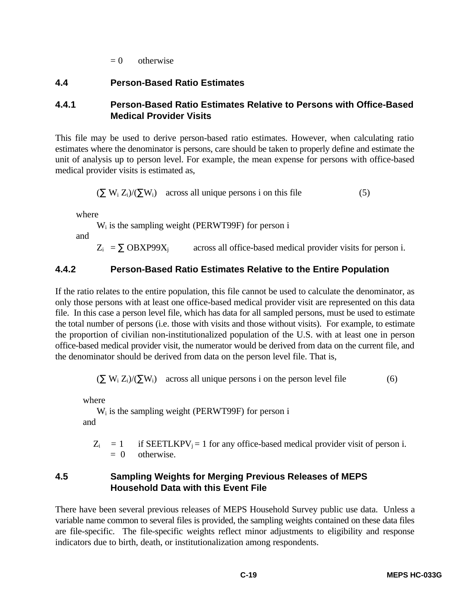$= 0$  otherwise

#### **4.4 Person-Based Ratio Estimates**

#### **4.4.1 Person-Based Ratio Estimates Relative to Persons with Office-Based Medical Provider Visits**

This file may be used to derive person-based ratio estimates. However, when calculating ratio estimates where the denominator is persons, care should be taken to properly define and estimate the unit of analysis up to person level. For example, the mean expense for persons with office-based medical provider visits is estimated as,

$$
(\sum W_i Z_i)/(\sum W_i)
$$
 across all unique persons i on this file (5)

where

 $W_i$  is the sampling weight (PERWT99F) for person i

and

 $Z_i = \sum \text{OBX}P99X_i$  across all office-based medical provider visits for person i.

#### **4.4.2 Person-Based Ratio Estimates Relative to the Entire Population**

If the ratio relates to the entire population, this file cannot be used to calculate the denominator, as only those persons with at least one office-based medical provider visit are represented on this data file. In this case a person level file, which has data for all sampled persons, must be used to estimate the total number of persons (i.e. those with visits and those without visits). For example, to estimate the proportion of civilian non-institutionalized population of the U.S. with at least one in person office-based medical provider visit, the numerator would be derived from data on the current file, and the denominator should be derived from data on the person level file. That is,

 $(\sum W_i Z_i)/(\sum W_i)$  across all unique persons i on the person level file (6)

where

 $W_i$  is the sampling weight (PERWT99F) for person i and

 $Z_i = 1$  if SEETLKPV<sub>i</sub> = 1 for any office-based medical provider visit of person i.  $= 0$  otherwise.

#### **4.5 Sampling Weights for Merging Previous Releases of MEPS Household Data with this Event File**

There have been several previous releases of MEPS Household Survey public use data. Unless a variable name common to several files is provided, the sampling weights contained on these data files are file-specific. The file-specific weights reflect minor adjustments to eligibility and response indicators due to birth, death, or institutionalization among respondents.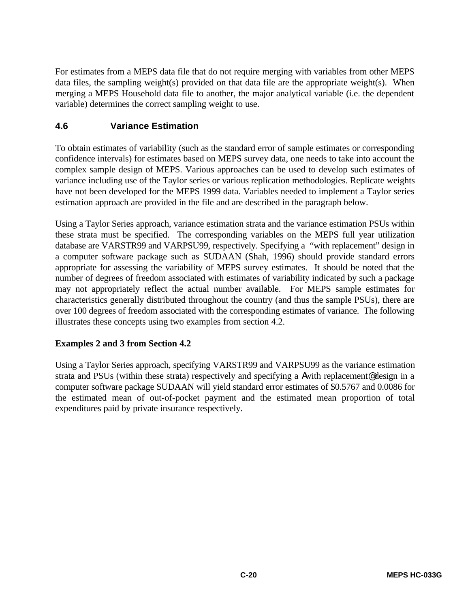For estimates from a MEPS data file that do not require merging with variables from other MEPS data files, the sampling weight(s) provided on that data file are the appropriate weight(s). When merging a MEPS Household data file to another, the major analytical variable (i.e. the dependent variable) determines the correct sampling weight to use.

### **4.6 Variance Estimation**

To obtain estimates of variability (such as the standard error of sample estimates or corresponding confidence intervals) for estimates based on MEPS survey data, one needs to take into account the complex sample design of MEPS. Various approaches can be used to develop such estimates of variance including use of the Taylor series or various replication methodologies. Replicate weights have not been developed for the MEPS 1999 data. Variables needed to implement a Taylor series estimation approach are provided in the file and are described in the paragraph below.

Using a Taylor Series approach, variance estimation strata and the variance estimation PSUs within these strata must be specified. The corresponding variables on the MEPS full year utilization database are VARSTR99 and VARPSU99, respectively. Specifying a "with replacement" design in a computer software package such as SUDAAN (Shah, 1996) should provide standard errors appropriate for assessing the variability of MEPS survey estimates. It should be noted that the number of degrees of freedom associated with estimates of variability indicated by such a package may not appropriately reflect the actual number available. For MEPS sample estimates for characteristics generally distributed throughout the country (and thus the sample PSUs), there are over 100 degrees of freedom associated with the corresponding estimates of variance. The following illustrates these concepts using two examples from section 4.2.

### **Examples 2 and 3 from Section 4.2**

Using a Taylor Series approach, specifying VARSTR99 and VARPSU99 as the variance estimation strata and PSUs (within these strata) respectively and specifying a Awith replacement@ design in a computer software package SUDAAN will yield standard error estimates of \$0.5767 and 0.0086 for the estimated mean of out-of-pocket payment and the estimated mean proportion of total expenditures paid by private insurance respectively.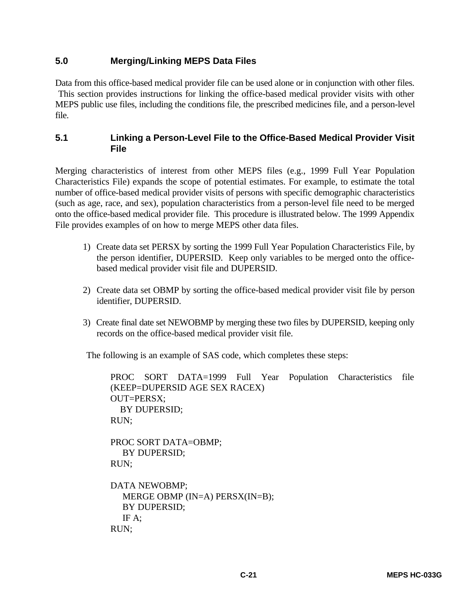#### **5.0 Merging/Linking MEPS Data Files**

Data from this office-based medical provider file can be used alone or in conjunction with other files. This section provides instructions for linking the office-based medical provider visits with other MEPS public use files, including the conditions file, the prescribed medicines file, and a person-level file.

#### **5.1 Linking a Person-Level File to the Office-Based Medical Provider Visit File**

Merging characteristics of interest from other MEPS files (e.g., 1999 Full Year Population Characteristics File) expands the scope of potential estimates. For example, to estimate the total number of office-based medical provider visits of persons with specific demographic characteristics (such as age, race, and sex), population characteristics from a person-level file need to be merged onto the office-based medical provider file. This procedure is illustrated below. The 1999 Appendix File provides examples of on how to merge MEPS other data files.

- 1) Create data set PERSX by sorting the 1999 Full Year Population Characteristics File, by the person identifier, DUPERSID. Keep only variables to be merged onto the officebased medical provider visit file and DUPERSID.
- 2) Create data set OBMP by sorting the office-based medical provider visit file by person identifier, DUPERSID.
- 3) Create final date set NEWOBMP by merging these two files by DUPERSID, keeping only records on the office-based medical provider visit file.

The following is an example of SAS code, which completes these steps:

PROC SORT DATA=1999 Full Year Population Characteristics file (KEEP=DUPERSID AGE SEX RACEX) OUT=PERSX; BY DUPERSID; RUN; PROC SORT DATA=OBMP; BY DUPERSID; RUN;

DATA NEWOBMP; MERGE OBMP (IN=A) PERSX(IN=B); BY DUPERSID; IF A; RUN;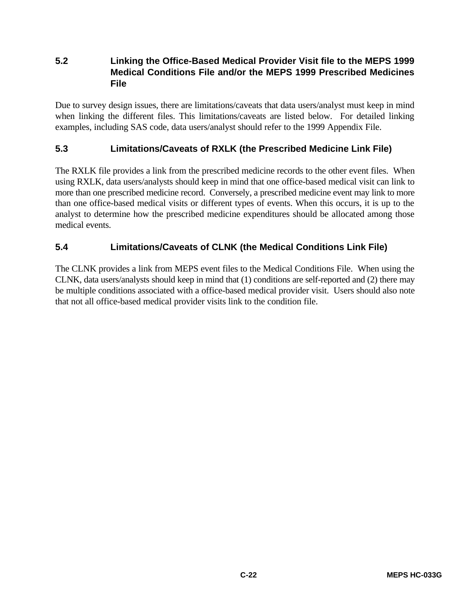### **5.2 Linking the Office-Based Medical Provider Visit file to the MEPS 1999 Medical Conditions File and/or the MEPS 1999 Prescribed Medicines File**

Due to survey design issues, there are limitations/caveats that data users/analyst must keep in mind when linking the different files. This limitations/caveats are listed below. For detailed linking examples, including SAS code, data users/analyst should refer to the 1999 Appendix File.

#### **5.3 Limitations/Caveats of RXLK (the Prescribed Medicine Link File)**

The RXLK file provides a link from the prescribed medicine records to the other event files. When using RXLK, data users/analysts should keep in mind that one office-based medical visit can link to more than one prescribed medicine record. Conversely, a prescribed medicine event may link to more than one office-based medical visits or different types of events. When this occurs, it is up to the analyst to determine how the prescribed medicine expenditures should be allocated among those medical events.

### **5.4 Limitations/Caveats of CLNK (the Medical Conditions Link File)**

The CLNK provides a link from MEPS event files to the Medical Conditions File. When using the CLNK, data users/analysts should keep in mind that (1) conditions are self-reported and (2) there may be multiple conditions associated with a office-based medical provider visit. Users should also note that not all office-based medical provider visits link to the condition file.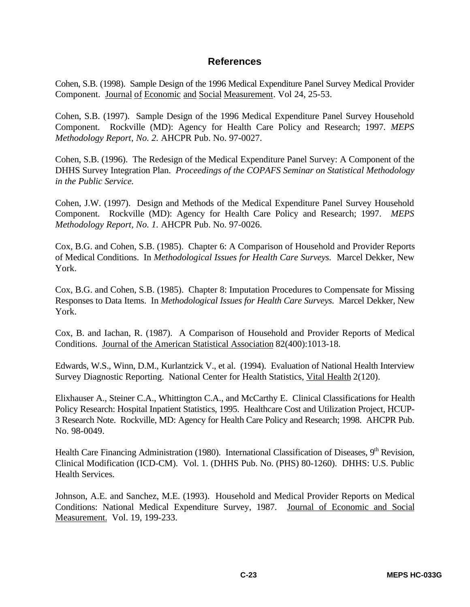#### **References**

Cohen, S.B. (1998). Sample Design of the 1996 Medical Expenditure Panel Survey Medical Provider Component. Journal of Economic and Social Measurement. Vol 24, 25-53.

Cohen, S.B. (1997). Sample Design of the 1996 Medical Expenditure Panel Survey Household Component. Rockville (MD): Agency for Health Care Policy and Research; 1997. *MEPS Methodology Report*, *No. 2.* AHCPR Pub. No. 97-0027.

Cohen, S.B. (1996). The Redesign of the Medical Expenditure Panel Survey: A Component of the DHHS Survey Integration Plan. *Proceedings of the COPAFS Seminar on Statistical Methodology in the Public Service.*

Cohen, J.W. (1997). Design and Methods of the Medical Expenditure Panel Survey Household Component. Rockville (MD): Agency for Health Care Policy and Research; 1997. *MEPS Methodology Report, No. 1.* AHCPR Pub. No. 97-0026.

Cox, B.G. and Cohen, S.B. (1985). Chapter 6: A Comparison of Household and Provider Reports of Medical Conditions. In *Methodological Issues for Health Care Surveys.* Marcel Dekker, New York.

Cox, B.G. and Cohen, S.B. (1985). Chapter 8: Imputation Procedures to Compensate for Missing Responses to Data Items. In *Methodological Issues for Health Care Surveys.* Marcel Dekker, New York.

Cox, B. and Iachan, R. (1987). A Comparison of Household and Provider Reports of Medical Conditions. Journal of the American Statistical Association 82(400):1013-18.

Edwards, W.S., Winn, D.M., Kurlantzick V., et al. (1994). Evaluation of National Health Interview Survey Diagnostic Reporting. National Center for Health Statistics, Vital Health 2(120).

Elixhauser A., Steiner C.A., Whittington C.A., and McCarthy E. Clinical Classifications for Health Policy Research: Hospital Inpatient Statistics, 1995. Healthcare Cost and Utilization Project, HCUP-3 Research Note. Rockville, MD: Agency for Health Care Policy and Research; 1998. AHCPR Pub. No. 98-0049.

Health Care Financing Administration (1980). International Classification of Diseases, 9<sup>th</sup> Revision, Clinical Modification (ICD-CM). Vol. 1. (DHHS Pub. No. (PHS) 80-1260). DHHS: U.S. Public Health Services.

Johnson, A.E. and Sanchez, M.E. (1993). Household and Medical Provider Reports on Medical Conditions: National Medical Expenditure Survey, 1987. Journal of Economic and Social Measurement. Vol. 19, 199-233.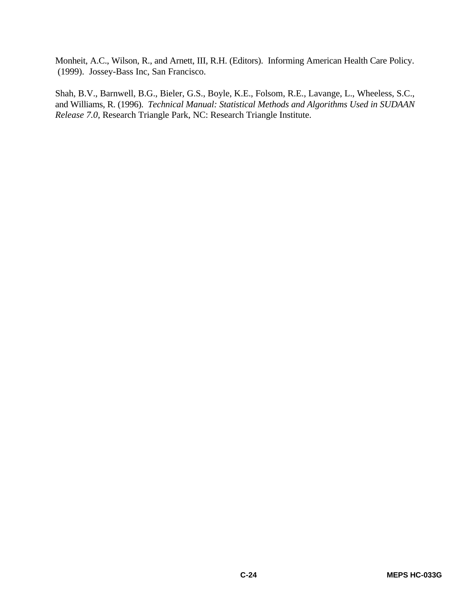Monheit, A.C., Wilson, R., and Arnett, III, R.H. (Editors). Informing American Health Care Policy. (1999). Jossey-Bass Inc, San Francisco.

Shah, B.V., Barnwell, B.G., Bieler, G.S., Boyle, K.E., Folsom, R.E., Lavange, L., Wheeless, S.C., and Williams, R. (1996). *Technical Manual: Statistical Methods and Algorithms Used in SUDAAN Release 7.0,* Research Triangle Park, NC: Research Triangle Institute.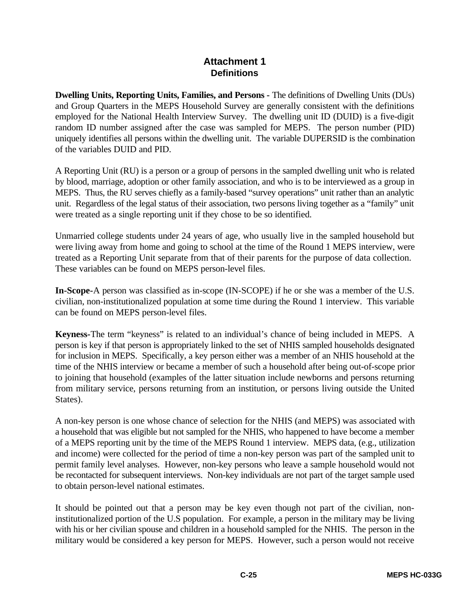#### **Attachment 1 Definitions**

**Dwelling Units, Reporting Units, Families, and Persons -** The definitions of Dwelling Units (DUs) and Group Quarters in the MEPS Household Survey are generally consistent with the definitions employed for the National Health Interview Survey. The dwelling unit ID (DUID) is a five-digit random ID number assigned after the case was sampled for MEPS. The person number (PID) uniquely identifies all persons within the dwelling unit. The variable DUPERSID is the combination of the variables DUID and PID.

A Reporting Unit (RU) is a person or a group of persons in the sampled dwelling unit who is related by blood, marriage, adoption or other family association, and who is to be interviewed as a group in MEPS. Thus, the RU serves chiefly as a family-based "survey operations" unit rather than an analytic unit. Regardless of the legal status of their association, two persons living together as a "family" unit were treated as a single reporting unit if they chose to be so identified.

Unmarried college students under 24 years of age, who usually live in the sampled household but were living away from home and going to school at the time of the Round 1 MEPS interview, were treated as a Reporting Unit separate from that of their parents for the purpose of data collection. These variables can be found on MEPS person-level files.

**In-Scope-**A person was classified as in-scope (IN-SCOPE) if he or she was a member of the U.S. civilian, non-institutionalized population at some time during the Round 1 interview. This variable can be found on MEPS person-level files.

**Keyness-**The term "keyness" is related to an individual's chance of being included in MEPS. A person is key if that person is appropriately linked to the set of NHIS sampled households designated for inclusion in MEPS. Specifically, a key person either was a member of an NHIS household at the time of the NHIS interview or became a member of such a household after being out-of-scope prior to joining that household (examples of the latter situation include newborns and persons returning from military service, persons returning from an institution, or persons living outside the United States).

A non-key person is one whose chance of selection for the NHIS (and MEPS) was associated with a household that was eligible but not sampled for the NHIS, who happened to have become a member of a MEPS reporting unit by the time of the MEPS Round 1 interview. MEPS data, (e.g., utilization and income) were collected for the period of time a non-key person was part of the sampled unit to permit family level analyses. However, non-key persons who leave a sample household would not be recontacted for subsequent interviews. Non-key individuals are not part of the target sample used to obtain person-level national estimates.

It should be pointed out that a person may be key even though not part of the civilian, noninstitutionalized portion of the U.S population. For example, a person in the military may be living with his or her civilian spouse and children in a household sampled for the NHIS. The person in the military would be considered a key person for MEPS. However, such a person would not receive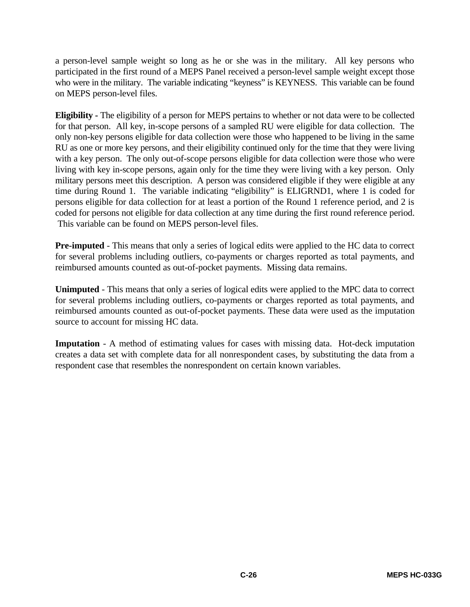a person-level sample weight so long as he or she was in the military. All key persons who participated in the first round of a MEPS Panel received a person-level sample weight except those who were in the military. The variable indicating "keyness" is KEYNESS. This variable can be found on MEPS person-level files.

**Eligibility -** The eligibility of a person for MEPS pertains to whether or not data were to be collected for that person. All key, in-scope persons of a sampled RU were eligible for data collection. The only non-key persons eligible for data collection were those who happened to be living in the same RU as one or more key persons, and their eligibility continued only for the time that they were living with a key person. The only out-of-scope persons eligible for data collection were those who were living with key in-scope persons, again only for the time they were living with a key person. Only military persons meet this description. A person was considered eligible if they were eligible at any time during Round 1. The variable indicating "eligibility" is ELIGRND1, where 1 is coded for persons eligible for data collection for at least a portion of the Round 1 reference period, and 2 is coded for persons not eligible for data collection at any time during the first round reference period. This variable can be found on MEPS person-level files.

**Pre-imputed** - This means that only a series of logical edits were applied to the HC data to correct for several problems including outliers, co-payments or charges reported as total payments, and reimbursed amounts counted as out-of-pocket payments. Missing data remains.

**Unimputed** - This means that only a series of logical edits were applied to the MPC data to correct for several problems including outliers, co-payments or charges reported as total payments, and reimbursed amounts counted as out-of-pocket payments. These data were used as the imputation source to account for missing HC data.

**Imputation** - A method of estimating values for cases with missing data. Hot-deck imputation creates a data set with complete data for all nonrespondent cases, by substituting the data from a respondent case that resembles the nonrespondent on certain known variables.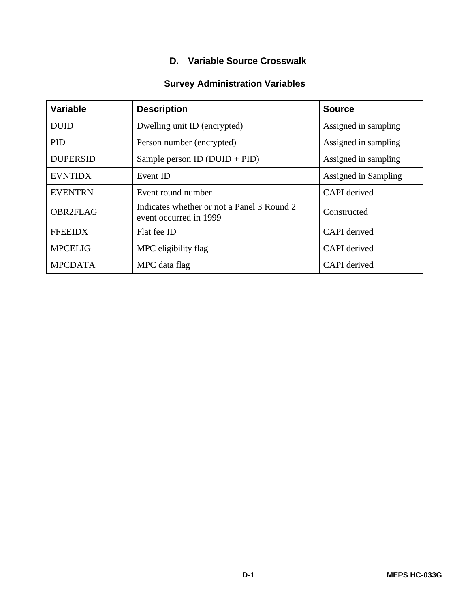### **D. Variable Source Crosswalk**

### **Survey Administration Variables**

| <b>Variable</b> | <b>Description</b>                                                   | <b>Source</b>        |
|-----------------|----------------------------------------------------------------------|----------------------|
| <b>DUID</b>     | Dwelling unit ID (encrypted)                                         | Assigned in sampling |
| <b>PID</b>      | Person number (encrypted)                                            | Assigned in sampling |
| <b>DUPERSID</b> | Sample person ID $(DUID + PID)$                                      | Assigned in sampling |
| <b>EVNTIDX</b>  | Event ID                                                             | Assigned in Sampling |
| <b>EVENTRN</b>  | Event round number                                                   | <b>CAPI</b> derived  |
| <b>OBR2FLAG</b> | Indicates whether or not a Panel 3 Round 2<br>event occurred in 1999 | Constructed          |
| <b>FFEEIDX</b>  | Flat fee ID                                                          | <b>CAPI</b> derived  |
| <b>MPCELIG</b>  | MPC eligibility flag                                                 | <b>CAPI</b> derived  |
| <b>MPCDATA</b>  | MPC data flag                                                        | <b>CAPI</b> derived  |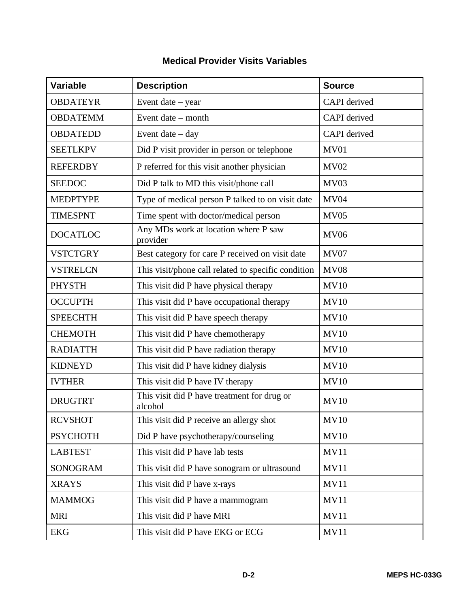| Variable        | <b>Description</b>                                     | <b>Source</b>       |
|-----------------|--------------------------------------------------------|---------------------|
| <b>OBDATEYR</b> | Event date $-$ year                                    | <b>CAPI</b> derived |
| <b>OBDATEMM</b> | Event date – month                                     | <b>CAPI</b> derived |
| <b>OBDATEDD</b> | Event date $-$ day                                     | CAPI derived        |
| <b>SEETLKPV</b> | Did P visit provider in person or telephone            | MV01                |
| <b>REFERDBY</b> | P referred for this visit another physician            | <b>MV02</b>         |
| <b>SEEDOC</b>   | Did P talk to MD this visit/phone call                 | MV <sub>03</sub>    |
| <b>MEDPTYPE</b> | Type of medical person P talked to on visit date       | <b>MV04</b>         |
| <b>TIMESPNT</b> | Time spent with doctor/medical person                  | <b>MV05</b>         |
| <b>DOCATLOC</b> | Any MDs work at location where P saw<br>provider       | <b>MV06</b>         |
| <b>VSTCTGRY</b> | Best category for care P received on visit date        | MV07                |
| <b>VSTRELCN</b> | This visit/phone call related to specific condition    | <b>MV08</b>         |
| <b>PHYSTH</b>   | This visit did P have physical therapy                 | <b>MV10</b>         |
| <b>OCCUPTH</b>  | This visit did P have occupational therapy             | <b>MV10</b>         |
| <b>SPEECHTH</b> | This visit did P have speech therapy                   | <b>MV10</b>         |
| <b>CHEMOTH</b>  | This visit did P have chemotherapy                     | <b>MV10</b>         |
| <b>RADIATTH</b> | This visit did P have radiation therapy                | <b>MV10</b>         |
| <b>KIDNEYD</b>  | This visit did P have kidney dialysis                  | <b>MV10</b>         |
| <b>IVTHER</b>   | This visit did P have IV therapy                       | MV10                |
| <b>DRUGTRT</b>  | This visit did P have treatment for drug or<br>alcohol | MV10                |
| <b>RCVSHOT</b>  | This visit did P receive an allergy shot               | <b>MV10</b>         |
| <b>PSYCHOTH</b> | Did P have psychotherapy/counseling                    | MV10                |
| <b>LABTEST</b>  | This visit did P have lab tests                        | <b>MV11</b>         |
| <b>SONOGRAM</b> | This visit did P have sonogram or ultrasound           | <b>MV11</b>         |
| <b>XRAYS</b>    | This visit did P have x-rays                           | <b>MV11</b>         |
| <b>MAMMOG</b>   | This visit did P have a mammogram                      | <b>MV11</b>         |
| <b>MRI</b>      | This visit did P have MRI                              | <b>MV11</b>         |
| <b>EKG</b>      | This visit did P have EKG or ECG                       | MV11                |

### **Medical Provider Visits Variables**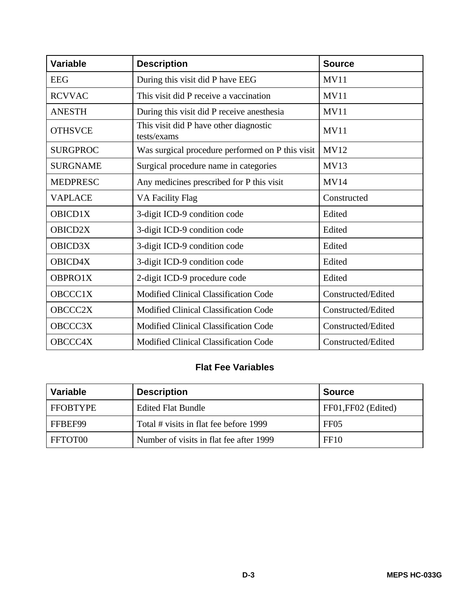| <b>Variable</b> | <b>Description</b>                                    | <b>Source</b>      |
|-----------------|-------------------------------------------------------|--------------------|
| <b>EEG</b>      | During this visit did P have EEG                      | <b>MV11</b>        |
| <b>RCVVAC</b>   | This visit did P receive a vaccination                | <b>MV11</b>        |
| <b>ANESTH</b>   | During this visit did P receive anesthesia            | <b>MV11</b>        |
| <b>OTHSVCE</b>  | This visit did P have other diagnostic<br>tests/exams | <b>MV11</b>        |
| <b>SURGPROC</b> | Was surgical procedure performed on P this visit      | <b>MV12</b>        |
| <b>SURGNAME</b> | Surgical procedure name in categories                 | <b>MV13</b>        |
| <b>MEDPRESC</b> | Any medicines prescribed for P this visit             | <b>MV14</b>        |
| <b>VAPLACE</b>  | <b>VA Facility Flag</b>                               | Constructed        |
| <b>OBICD1X</b>  | 3-digit ICD-9 condition code                          | Edited             |
| <b>OBICD2X</b>  | 3-digit ICD-9 condition code                          | Edited             |
| <b>OBICD3X</b>  | 3-digit ICD-9 condition code                          | Edited             |
| <b>OBICD4X</b>  | 3-digit ICD-9 condition code                          | Edited             |
| OBPRO1X         | 2-digit ICD-9 procedure code                          | Edited             |
| <b>OBCCC1X</b>  | Modified Clinical Classification Code                 | Constructed/Edited |
| <b>OBCCC2X</b>  | Modified Clinical Classification Code                 | Constructed/Edited |
| OBCCC3X         | Modified Clinical Classification Code                 | Constructed/Edited |
| OBCCC4X         | Modified Clinical Classification Code                 | Constructed/Edited |

### **Flat Fee Variables**

| Variable        | <b>Description</b>                      | <b>Source</b>       |
|-----------------|-----------------------------------------|---------------------|
| <b>FFOBTYPE</b> | <b>Edited Flat Bundle</b>               | FF01, FF02 (Edited) |
| FFBEF99         | Total # visits in flat fee before 1999  | FF <sub>05</sub>    |
| FFTOT00         | Number of visits in flat fee after 1999 | FF10                |